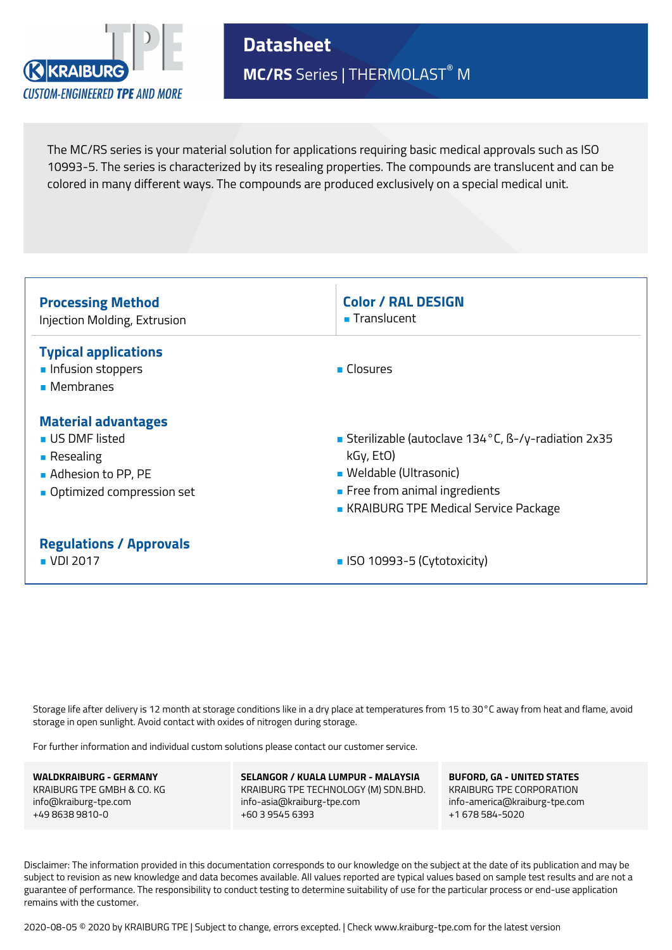

**Datasheet MC/RS** Series | THERMOLAST® M

The MC/RS series is your material solution for applications requiring basic medical approvals such as ISO 10993-5. The series is characterized by its resealing properties. The compounds are translucent and can be colored in many different ways. The compounds are produced exclusively on a special medical unit.



Storage life after delivery is 12 month at storage conditions like in a dry place at temperatures from 15 to 30°C away from heat and flame, avoid storage in open sunlight. Avoid contact with oxides of nitrogen during storage.

For further information and individual custom solutions please contact our customer service.

**WALDKRAIBURG - GERMANY** KRAIBURG TPE GMBH & CO. KG info@kraiburg-tpe.com +49 8638 9810-0

**SELANGOR / KUALA LUMPUR - MALAYSIA** KRAIBURG TPE TECHNOLOGY (M) SDN.BHD. info-asia@kraiburg-tpe.com +60 3 9545 6393

**BUFORD, GA - UNITED STATES** KRAIBURG TPE CORPORATION info-america@kraiburg-tpe.com +1 678 584-5020

Disclaimer: The information provided in this documentation corresponds to our knowledge on the subject at the date of its publication and may be subject to revision as new knowledge and data becomes available. All values reported are typical values based on sample test results and are not a guarantee of performance. The responsibility to conduct testing to determine suitability of use for the particular process or end-use application remains with the customer.

2020-08-05 © 2020 by KRAIBURG TPE | Subject to change, errors excepted. | Check www.kraiburg-tpe.com for the latest version